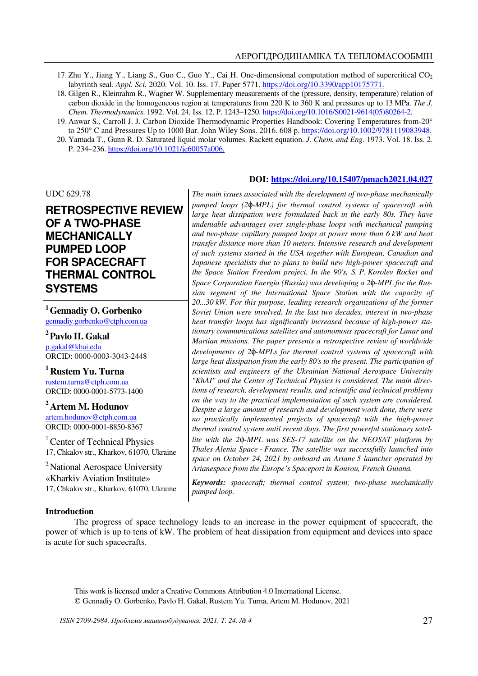- 17. Zhu Y., Jiang Y., Liang S., Guo C., Guo Y., Cai H. One-dimensional computation method of supercritical CO<sub>2</sub> labyrinth seal. *Appl. Sci.* 2020. Vol. 10. Iss. 17. Paper 5771. https://doi.org/10.3390/app10175771.
- 18. Gilgen R., Kleinrahm R., Wagner W. Supplementary measurements of the (pressure, density, temperature) relation of carbon dioxide in the homogeneous region at temperatures from 220 K to 360 K and pressures up to 13 MPa. *The J. Chem. Thermodynamics*. 1992. Vol. 24*.* Iss. 12. P. 1243–1250. https://doi.org/10.1016/S0021-9614(05)80264-2.
- 19. Anwar S., Carroll J. J. Carbon Dioxide Thermodynamic Properties Handbook: Covering Temperatures from-20° to 250° C and Pressures Up to 1000 Bar. John Wiley Sons. 2016. 608 p. https://doi.org/10.1002/9781119083948.
- 20. Yamada T., Gunn R. D. Saturated liquid molar volumes. Rackett equation. *J. Chem. and Eng.* 1973. Vol. 18. Iss. 2. P. 234–236. https://doi.org/10.1021/je60057a006.

# UDC 629.78

# **RETROSPECTIVE REVIEW OF A TWO-PHASE MECHANICALLY PUMPED LOOP FOR SPACECRAFT THERMAL CONTROL SYSTEMS**

**<sup>1</sup>Gennadiy O. Gorbenko**  gennadiy.gorbenko@ctph.com.ua

**<sup>2</sup>Pavlo H. Gakal**  p.gakal@khai.edu ORCID: 0000-0003-3043-2448

**<sup>1</sup>Rustem Yu. Turna**  rustem.turna@ctph.com.ua ORCID: 0000-0001-5773-1400

**<sup>2</sup>Artem M. Hodunov**  artem.hodunov@ctph.com.ua ORCID: 0000-0001-8850-8367

<sup>1</sup> Center of Technical Physics 17, Chkalov str., Kharkov, 61070, Ukraine

<sup>2</sup>National Aerospace University «Kharkiv Aviation Institute» 17, Chkalov str., Kharkov, 61070, Ukraine

# **DOI: https://doi.org/10.15407/pmach2021.04.027**

*The main issues associated with the development of two-phase mechanically pumped loops (2*φ*-MPL) for thermal control systems of spacecraft with large heat dissipation were formulated back in the early 80s. They have undeniable advantages over single-phase loops with mechanical pumping and two-phase capillary pumped loops at power more than 6 kW and heat transfer distance more than 10 meters. Intensive research and development of such systems started in the USA together with European, Canadian and Japanese specialists due to plans to build new high-power spacecraft and the Space Station Freedom project. In the 90's, S. P. Korolev Rocket and Space Corporation Energia (Russia) was developing a 2*φ*-MPL for the Russian segment of the International Space Station with the capacity of 20...30 kW. For this purpose, leading research organizations of the former Soviet Union were involved. In the last two decades, interest in two-phase heat transfer loops has significantly increased because of high-power stationary communications satellites and autonomous spacecraft for Lunar and Martian missions. The paper presents a retrospective review of worldwide developments of 2*φ*-MPLs for thermal control systems of spacecraft with large heat dissipation from the early 80's to the present. The participation of scientists and engineers of the Ukrainian National Aerospace University "KhAI" and the Center of Technical Physics is considered. The main directions of research, development results, and scientific and technical problems on the way to the practical implementation of such system are considered. Despite a large amount of research and development work done, there were no practically implemented projects of spacecraft with the high-power thermal control system until recent days. The first powerful stationary satellite with the 2*φ*-MPL was SES-17 satellite on the NEOSAT platform by Thales Alenia Space - France. The satellite was successfully launched into space on October 24, 2021 by onboard an Ariane 5 launcher operated by Arianespace from the Europe's Spaceport in Kourou, French Guiana.* 

*Keywords: spacecraft; thermal control system; two-phase mechanically pumped loop.* 

### **Introduction**

 $\ddot{\phantom{a}}$ 

The progress of space technology leads to an increase in the power equipment of spacecraft, the power of which is up to tens of kW. The problem of heat dissipation from equipment and devices into space is acute for such spacecrafts.

This work is licensed under a Creative Commons Attribution 4.0 International License.

Gennadiy O. Gorbenko, Pavlo H. Gakal, Rustem Yu. Turna, Artem M. Hodunov, 2021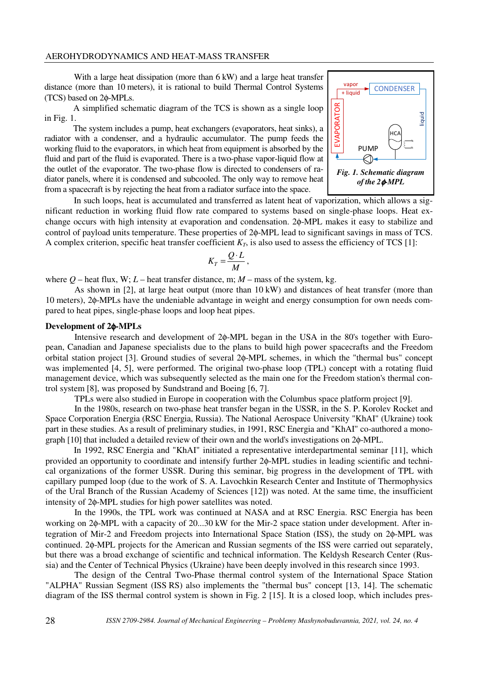With a large heat dissipation (more than 6 kW) and a large heat transfer distance (more than 10 meters), it is rational to build Thermal Control Systems (TCS) based on 2φ-MPLs.

A simplified schematic diagram of the TCS is shown as a single loop in Fig. 1.

The system includes a pump, heat exchangers (evaporators, heat sinks), a radiator with a condenser, and a hydraulic accumulator. The pump feeds the working fluid to the evaporators, in which heat from equipment is absorbed by the fluid and part of the fluid is evaporated. There is a two-phase vapor-liquid flow at the outlet of the evaporator. The two-phase flow is directed to condensers of radiator panels, where it is condensed and subcooled. The only way to remove heat from a spacecraft is by rejecting the heat from a radiator surface into the space.



In such loops, heat is accumulated and transferred as latent heat of vaporization, which allows a significant reduction in working fluid flow rate compared to systems based on single-phase loops. Heat exchange occurs with high intensity at evaporation and condensation. 2φ-MPL makes it easy to stabilize and control of payload units temperature. These properties of 2φ-MPL lead to significant savings in mass of TCS. A complex criterion, specific heat transfer coefficient  $K_T$ , is also used to assess the efficiency of TCS [1]:

$$
K_T = \frac{Q \cdot L}{M} \,,
$$

where  $Q$  – heat flux, W;  $L$  – heat transfer distance, m;  $M$  – mass of the system, kg.

As shown in [2], at large heat output (more than 10 kW) and distances of heat transfer (more than 10 meters), 2φ-MPLs have the undeniable advantage in weight and energy consumption for own needs compared to heat pipes, single-phase loops and loop heat pipes.

## **Development of 2**φ**-MPLs**

Intensive research and development of 2φ-MPL began in the USA in the 80's together with European, Canadian and Japanese specialists due to the plans to build high power spacecrafts and the Freedom orbital station project [3]. Ground studies of several 2φ-MPL schemes, in which the "thermal bus" concept was implemented [4, 5], were performed. The original two-phase loop (TPL) concept with a rotating fluid management device, which was subsequently selected as the main one for the Freedom station's thermal control system [8], was proposed by Sundstrand and Boeing [6, 7].

TPLs were also studied in Europe in cooperation with the Columbus space platform project [9].

In the 1980s, research on two-phase heat transfer began in the USSR, in the S. P. Korolev Rocket and Space Corporation Energia (RSC Energia, Russia). The National Aerospace University "KhAI" (Ukraine) took part in these studies. As a result of preliminary studies, in 1991, RSC Energia and "KhAI" co-authored a monograph [10] that included a detailed review of their own and the world's investigations on 2φ-MPL.

In 1992, RSC Energia and "KhAI" initiated a representative interdepartmental seminar [11], which provided an opportunity to coordinate and intensify further 2φ-MPL studies in leading scientific and technical organizations of the former USSR. During this seminar, big progress in the development of TPL with capillary pumped loop (due to the work of S. A. Lavochkin Research Center and Institute of Thermophysics of the Ural Branch of the Russian Academy of Sciences [12]) was noted. At the same time, the insufficient intensity of 2φ-MPL studies for high power satellites was noted.

In the 1990s, the TPL work was continued at NASA and at RSC Energia. RSC Energia has been working on 2φ-MPL with a capacity of 20...30 kW for the Mir-2 space station under development. After integration of Mir-2 and Freedom projects into International Space Station (ISS), the study on 2φ-MPL was continued. 2φ-MPL projects for the American and Russian segments of the ISS were carried out separately, but there was a broad exchange of scientific and technical information. The Keldysh Research Center (Russia) and the Center of Technical Physics (Ukraine) have been deeply involved in this research since 1993.

The design of the Central Two-Phase thermal control system of the International Space Station "ALPHA" Russian Segment (ISS RS) also implements the "thermal bus" concept [13, 14]. The schematic diagram of the ISS thermal control system is shown in Fig. 2 [15]. It is a closed loop, which includes pres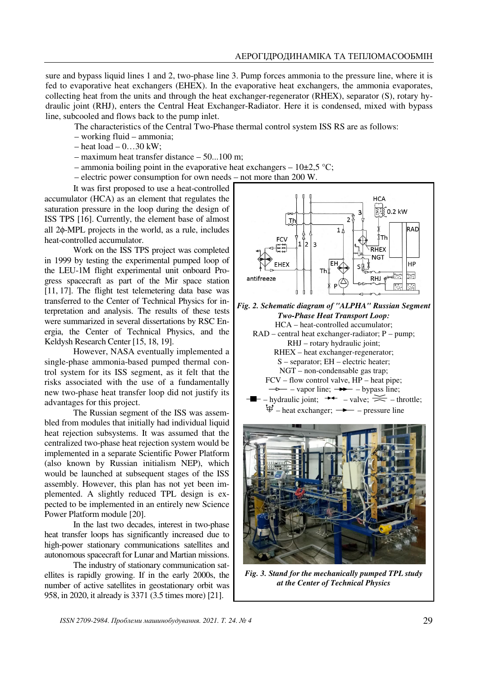sure and bypass liquid lines 1 and 2, two-phase line 3. Pump forces ammonia to the pressure line, where it is fed to evaporative heat exchangers (EHEX). In the evaporative heat exchangers, the ammonia evaporates, collecting heat from the units and through the heat exchanger-regenerator (RHEX), separator (S), rotary hydraulic joint (RHJ), enters the Central Heat Exchanger-Radiator. Here it is condensed, mixed with bypass line, subcooled and flows back to the pump inlet.

The characteristics of the Central Two-Phase thermal control system ISS RS are as follows:

- working fluid ammonia;
- $-$  heat load  $0$ ... 30 kW;
- maximum heat transfer distance 50...100 m;
- ammonia boiling point in the evaporative heat exchangers  $10\pm2.5$  °C;
- electric power consumption for own needs not more than 200 W.

It was first proposed to use a heat-controlled accumulator (HCA) as an element that regulates the saturation pressure in the loop during the design of ISS TPS [16]. Currently, the element base of almost all 2φ-MPL projects in the world, as a rule, includes heat-controlled accumulator.

Work on the ISS TPS project was completed in 1999 by testing the experimental pumped loop of the LEU-1M flight experimental unit onboard Progress spacecraft as part of the Mir space station [11, 17]. The flight test telemetering data base was transferred to the Center of Technical Physics for interpretation and analysis. The results of these tests were summarized in several dissertations by RSC Energia, the Center of Technical Physics, and the Keldysh Research Center [15, 18, 19].

However, NASA eventually implemented a single-phase ammonia-based pumped thermal control system for its ISS segment, as it felt that the risks associated with the use of a fundamentally new two-phase heat transfer loop did not justify its advantages for this project.

The Russian segment of the ISS was assembled from modules that initially had individual liquid heat rejection subsystems. It was assumed that the centralized two-phase heat rejection system would be implemented in a separate Scientific Power Platform (also known by Russian initialism NEP), which would be launched at subsequent stages of the ISS assembly. However, this plan has not yet been implemented. A slightly reduced TPL design is expected to be implemented in an entirely new Science Power Platform module [20].

In the last two decades, interest in two-phase heat transfer loops has significantly increased due to high-power stationary communications satellites and autonomous spacecraft for Lunar and Martian missions.

The industry of stationary communication satellites is rapidly growing. If in the early 2000s, the number of active satellites in geostationary orbit was 958, in 2020, it already is 3371 (3.5 times more) [21].



*Fig. 3. Stand for the mechanically pumped TPL study at the Center of Technical Physics*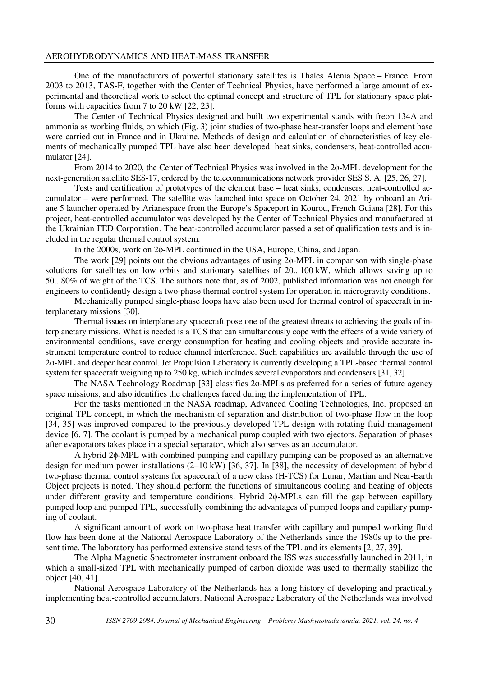One of the manufacturers of powerful stationary satellites is Thales Alenia Space – France. From 2003 to 2013, TAS-F, together with the Center of Technical Physics, have performed a large amount of experimental and theoretical work to select the optimal concept and structure of TPL for stationary space platforms with capacities from 7 to 20 kW [22, 23].

The Center of Technical Physics designed and built two experimental stands with freon 134A and ammonia as working fluids, on which (Fig. 3) joint studies of two-phase heat-transfer loops and element base were carried out in France and in Ukraine. Methods of design and calculation of characteristics of key elements of mechanically pumped TPL have also been developed: heat sinks, condensers, heat-controlled accumulator [24].

From 2014 to 2020, the Center of Technical Physics was involved in the 2φ-MPL development for the next-generation satellite SES-17, ordered by the telecommunications network provider SES S. A. [25, 26, 27].

Tests and certification of prototypes of the element base – heat sinks, condensers, heat-controlled accumulator – were performed. The satellite was launched into space on October 24, 2021 by onboard an Ariane 5 launcher operated by Arianespace from the Europe's Spaceport in Kourou, French Guiana [28]. For this project, heat-controlled accumulator was developed by the Center of Technical Physics and manufactured at the Ukrainian FED Corporation. The heat-controlled accumulator passed a set of qualification tests and is included in the regular thermal control system.

In the 2000s, work on 2φ-MPL continued in the USA, Europe, China, and Japan.

The work [29] points out the obvious advantages of using 2φ-MPL in comparison with single-phase solutions for satellites on low orbits and stationary satellites of 20...100 kW, which allows saving up to 50...80% of weight of the TCS. The authors note that, as of 2002, published information was not enough for engineers to confidently design a two-phase thermal control system for operation in microgravity conditions.

Mechanically pumped single-phase loops have also been used for thermal control of spacecraft in interplanetary missions [30].

Thermal issues on interplanetary spacecraft pose one of the greatest threats to achieving the goals of interplanetary missions. What is needed is a TCS that can simultaneously cope with the effects of a wide variety of environmental conditions, save energy consumption for heating and cooling objects and provide accurate instrument temperature control to reduce channel interference. Such capabilities are available through the use of 2φ-MPL and deeper heat control. Jet Propulsion Laboratory is currently developing a TPL-based thermal control system for spacecraft weighing up to 250 kg, which includes several evaporators and condensers [31, 32].

The NASA Technology Roadmap [33] classifies 2φ-MPLs as preferred for a series of future agency space missions, and also identifies the challenges faced during the implementation of TPL.

For the tasks mentioned in the NASA roadmap, Advanced Cooling Technologies, Inc. proposed an original TPL concept, in which the mechanism of separation and distribution of two-phase flow in the loop [34, 35] was improved compared to the previously developed TPL design with rotating fluid management device [6, 7]. The coolant is pumped by a mechanical pump coupled with two ejectors. Separation of phases after evaporators takes place in a special separator, which also serves as an accumulator.

A hybrid 2φ-MPL with combined pumping and capillary pumping can be proposed as an alternative design for medium power installations (2–10 kW) [36, 37]. In [38], the necessity of development of hybrid two-phase thermal control systems for spacecraft of a new class (H-TCS) for Lunar, Martian and Near-Earth Object projects is noted. They should perform the functions of simultaneous cooling and heating of objects under different gravity and temperature conditions. Hybrid 2φ-MPLs can fill the gap between capillary pumped loop and pumped TPL, successfully combining the advantages of pumped loops and capillary pumping of coolant.

A significant amount of work on two-phase heat transfer with capillary and pumped working fluid flow has been done at the National Aerospace Laboratory of the Netherlands since the 1980s up to the present time. The laboratory has performed extensive stand tests of the TPL and its elements [2, 27, 39].

The Alpha Magnetic Spectrometer instrument onboard the ISS was successfully launched in 2011, in which a small-sized TPL with mechanically pumped of carbon dioxide was used to thermally stabilize the object [40, 41].

National Aerospace Laboratory of the Netherlands has a long history of developing and practically implementing heat-controlled accumulators. National Aerospace Laboratory of the Netherlands was involved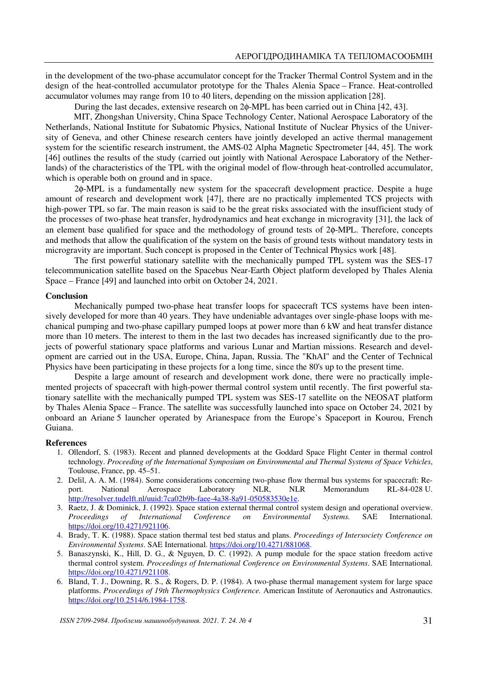in the development of the two-phase accumulator concept for the Tracker Thermal Control System and in the design of the heat-controlled accumulator prototype for the Thales Alenia Space – France. Heat-controlled accumulator volumes may range from 10 to 40 liters, depending on the mission application [28].

During the last decades, extensive research on 2φ-MPL has been carried out in China [42, 43].

MIT, Zhongshan University, China Space Technology Center, National Aerospace Laboratory of the Netherlands, National Institute for Subatomic Physics, National Institute of Nuclear Physics of the University of Geneva, and other Chinese research centers have jointly developed an active thermal management system for the scientific research instrument, the AMS-02 Alpha Magnetic Spectrometer [44, 45]. The work [46] outlines the results of the study (carried out jointly with National Aerospace Laboratory of the Netherlands) of the characteristics of the TPL with the original model of flow-through heat-controlled accumulator, which is operable both on ground and in space.

2φ-MPL is a fundamentally new system for the spacecraft development practice. Despite a huge amount of research and development work [47], there are no practically implemented TCS projects with high-power TPL so far. The main reason is said to be the great risks associated with the insufficient study of the processes of two-phase heat transfer, hydrodynamics and heat exchange in microgravity [31], the lack of an element base qualified for space and the methodology of ground tests of 2φ-MPL. Therefore, concepts and methods that allow the qualification of the system on the basis of ground tests without mandatory tests in microgravity are important. Such concept is proposed in the Center of Technical Physics work [48].

The first powerful stationary satellite with the mechanically pumped TPL system was the SES-17 telecommunication satellite based on the Spacebus Near-Earth Object platform developed by Thales Alenia Space – France [49] and launched into orbit on October 24, 2021.

# **Conclusion**

Mechanically pumped two-phase heat transfer loops for spacecraft TCS systems have been intensively developed for more than 40 years. They have undeniable advantages over single-phase loops with mechanical pumping and two-phase capillary pumped loops at power more than 6 kW and heat transfer distance more than 10 meters. The interest to them in the last two decades has increased significantly due to the projects of powerful stationary space platforms and various Lunar and Martian missions. Research and development are carried out in the USA, Europe, China, Japan, Russia. The "KhAI" and the Center of Technical Physics have been participating in these projects for a long time, since the 80's up to the present time.

Despite a large amount of research and development work done, there were no practically implemented projects of spacecraft with high-power thermal control system until recently. The first powerful stationary satellite with the mechanically pumped TPL system was SES-17 satellite on the NEOSAT platform by Thales Alenia Space – France. The satellite was successfully launched into space on October 24, 2021 by onboard an Ariane 5 launcher operated by Arianespace from the Europe's Spaceport in Kourou, French Guiana.

#### **References**

- 1. Ollendorf, S. (1983). Recent and planned developments at the Goddard Space Flight Center in thermal control technology. *Proceeding of the International Symposium on Environmental and Thermal Systems of Space Vehicles*, Toulouse, France, pp. 45–51.
- 2. Delil, A. A. M. (1984). Some considerations concerning two-phase flow thermal bus systems for spacecraft: Re-<br>port. National Aerospace Laboratory NLR. NLR Memorandum RL-84-028 U. port. National Aerospace Laboratory NLR, NLR Memorandum RL-84-028 U. http://resolver.tudelft.nl/uuid:7ca02b9b-faee-4a38-8a91-050583530e1e.
- 3. Raetz, J. & Dominick, J. (1992). Space station external thermal control system design and operational overview. *Proceedings of International Conference on Environmental Systems.* SAE International. https://doi.org/10.4271/921106.
- 4. Brady, T. K. (1988). Space station thermal test bed status and plans. *Proceedings of Intersociety Conference on Environmental Systems*. SAE International. https://doi.org/10.4271/881068.
- 5. Banaszynski, K., Hill, D. G., & Nguyen, D. C. (1992). A pump module for the space station freedom active thermal control system. *Proceedings of International Conference on Environmental Systems*. SAE International. https://doi.org/10.4271/921108.
- 6. Bland, T. J., Downing, R. S., & Rogers, D. P. (1984). A two-phase thermal management system for large space platforms. *Proceedings of 19th Thermophysics Conference.* American Institute of Aeronautics and Astronautics. https://doi.org/10.2514/6.1984-1758.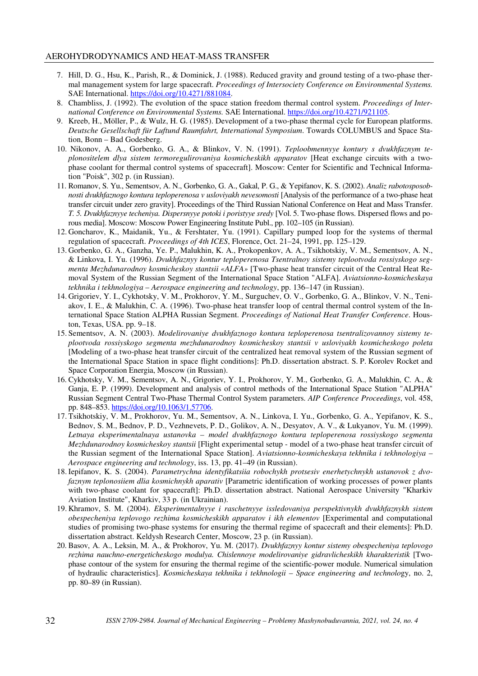- 7. Hill, D. G., Hsu, K., Parish, R., & Dominick, J. (1988). Reduced gravity and ground testing of a two-phase thermal management system for large spacecraft. *Proceedings of Intersociety Conference on Environmental Systems.* SAE International. https://doi.org/10.4271/881084.
- 8. Chambliss, J. (1992). The evolution of the space station freedom thermal control system. *Proceedings of International Conference on Environmental Systems.* SAE International. https://doi.org/10.4271/921105.
- 9. Kreeb, H., Möller, P., & Wulz, H. G. (1985). Development of a two-phase thermal cycle for European platforms. *Deutsche Gesellschaft für Luftund Raumfahrt, International Symposium*. Towards COLUMBUS and Space Station, Bonn – Bad Godesberg.
- 10. Nikonov, A. A., Gorbenko, G. A., & Blinkov, V. N. (1991). *Teploobmennyye kontury s dvukhfaznym teplonositelem dlya sistem termoregulirovaniya kosmicheskikh apparatov* [Heat exchange circuits with a twophase coolant for thermal control systems of spacecraft]. Moscow: Center for Scientific and Technical Information "Poisk", 302 p. (in Russian).
- 11. Romanov, S. Yu., Sementsov, A. N., Gorbenko, G. A., Gakal, P. G., & Yepifanov, K. S. (2002). *Analiz rabotosposobnosti dvukhfaznogo kontura teploperenosa v usloviyakh nevesomosti* [Analysis of the performance of a two-phase heat transfer circuit under zero gravity]. Proceedings of the Third Russian National Conference on Heat and Mass Transfer. *T. 5. Dvukhfaznyye techeniya. Dispersnyye potoki i poristyye sredy* [Vol. 5. Two-phase flows. Dispersed flows and porous media]. Moscow: Moscow Power Engineering Institute Publ., pp. 102–105 (in Russian).
- 12. Goncharov, K., Maidanik, Yu., & Fershtater, Yu. (1991). Capillary pumped loop for the systems of thermal regulation of spacecraft. *Proceedings of 4th ICES*, Florence, Oct. 21–24, 1991, pp. 125–129.
- 13. Gorbenko, G. A., Ganzha, Ye. P., Malukhin, K. A., Prokopenkov, A. A., Tsikhotskiy, V. M., Sementsov, A. N., & Linkova, I. Yu. (1996). *Dvukhfaznyy kontur teploperenosa Tsentralnoy sistemy teplootvoda rossiyskogo segmenta Mezhdunarodnoy kosmicheskoy stantsii «ALFA»* [Two-phase heat transfer circuit of the Central Heat Removal System of the Russian Segment of the International Space Station "ALFA]. *Aviatsionno-kosmicheskaya tekhnika i tekhnologiya* – *Aerospace engineering and technology*, pp. 136–147 (in Russian).
- 14. Grigoriev, Y. I., Cykhotsky, V. M., Prokhorov, Y. M., Surguchev, O. V., Gorbenko, G. A., Blinkov, V. N., Teniakov, I. E., & Malukhin, C. A. (1996). Two-phase heat transfer loop of central thermal control system of the International Space Station ALPHA Russian Segment. *Proceedings of National Heat Transfer Conference*. Houston, Texas, USA. pp. 9–18.
- 15. Sementsov, A. N. (2003). *Modelirovaniye dvukhfaznogo kontura teploperenosa tsentralizovannoy sistemy teplootvoda rossiyskogo segmenta mezhdunarodnoy kosmicheskoy stantsii v usloviyakh kosmicheskogo poleta* [Modeling of a two-phase heat transfer circuit of the centralized heat removal system of the Russian segment of the International Space Station in space flight conditions]: Ph.D. dissertation abstract. S. P. Korolev Rocket and Space Corporation Energia, Moscow (in Russian).
- 16. Cykhotsky, V. M., Sementsov, A. N., Grigoriev, Y. I., Prokhorov, Y. M., Gorbenko, G. A., Malukhin, C. A., & Ganja, E. P. (1999). Development and analysis of control methods of the International Space Station "ALPHA" Russian Segment Central Two-Phase Thermal Control System parameters. *AIP Conference Proceedings*, vol. 458, pp. 848–853. https://doi.org/10.1063/1.57706.
- 17. Tsikhotskiy, V. M., Prokhorov, Yu. M., Sementsov, A. N., Linkova, I. Yu., Gorbenko, G. A., Yepifanov, K. S., Bednov, S. M., Bednov, P. D., Vezhnevets, P. D., Golikov, A. N., Desyatov, A. V., & Lukyanov, Yu. M. (1999). *Letnaya eksperimentalnaya ustanovka – model dvukhfaznogo kontura teploperenosa rossiyskogo segmenta Mezhdunarodnoy kosmicheskoy stantsii* [Flight experimental setup - model of a two-phase heat transfer circuit of the Russian segment of the International Space Station]. *Aviatsionno-kosmicheskaya tekhnika i tekhnologiya* – *Aerospace engineering and technology*, iss. 13, pp. 41–49 (in Russian).
- 18. Iepifanov, K. S. (2004). *Parametrychna identyfikatsiia robochykh protsesiv enerhetychnykh ustanovok z dvofaznym teplonosiiem dlia kosmichnykh aparativ* [Parametric identification of working processes of power plants with two-phase coolant for spacecraft]: Ph.D. dissertation abstract. National Aerospace University "Kharkiv Aviation Institute", Kharkiv, 33 p. (in Ukrainian).
- 19. Khramov, S. M. (2004). *Eksperimentalnyye i raschetnyye issledovaniya perspektivnykh dvukhfaznykh sistem obespecheniya teplovogo rezhima kosmicheskikh apparatov i ikh elementov* [Experimental and computational studies of promising two-phase systems for ensuring the thermal regime of spacecraft and their elements]: Ph.D. dissertation abstract. Keldysh Research Center, Moscow, 23 p. (in Russian).
- 20. Basov, A. A., Leksin, M. A., & Prokhorov, Yu. M. (2017). *Dvukhfaznyy kontur sistemy obespecheniya teplovogo rezhima nauchno-energeticheskogo modulya. Chislennoye modelirovaniye gidravlicheskikh kharakteristik* [Twophase contour of the system for ensuring the thermal regime of the scientific-power module. Numerical simulation of hydraulic characteristics]. *Kosmicheskaya tekhnika i tekhnologii* – *Space engineering and technolo*gy, no. 2, pp. 80–89 (in Russian).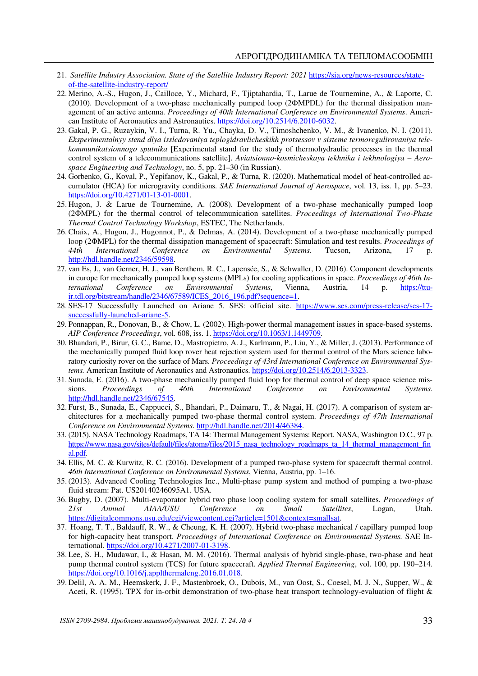- 21. *Satellite Industry Association. State of the Satellite Industry Report: 2021* https://sia.org/news-resources/stateof-the-satellite-industry-report/
- 22. Merino, A.-S., Hugon, J., Cailloce, Y., Michard, F., Tjiptahardia, T., Larue de Tournemine, A., & Laporte, C. (2010). Development of a two-phase mechanically pumped loop (2ФMPDL) for the thermal dissipation management of an active antenna. *Proceedings of 40th International Conference on Environmental Systems*. American Institute of Aeronautics and Astronautics. https://doi.org/10.2514/6.2010-6032.
- 23. Gakal, P. G., Ruzaykin, V. I., Turna, R. Yu., Chayka, D. V., Timoshchenko, V. M., & Ivanenko, N. I. (2011). *Eksperimentalnyy stend dlya issledovaniya teplogidravlicheskikh protsessov v sisteme termoregulirovaniya telekommunikatsionnogo sputnika* [Experimental stand for the study of thermohydraulic processes in the thermal control system of a telecommunications satellite]. *Aviatsionno-kosmicheskaya tekhnika i tekhnologiya* – *Aerospace Engineering and Technology*, no. 5, pp. 21–30 (in Russian).
- 24. Gorbenko, G., Koval, P., Yepifanov, K., Gakal, P., & Turna, R. (2020). Mathematical model of heat-controlled accumulator (HCA) for microgravity conditions. *SAE International Journal of Aerospace*, vol. 13, iss. 1, pp. 5–23. https://doi.org/10.4271/01-13-01-0001.
- 25. Hugon, J. & Larue de Tournemine, A. (2008). Development of a two-phase mechanically pumped loop (2ΦMPL) for the thermal control of telecommunication satellites. *Proceedings of International Two-Phase Thermal Control Technology Workshop*, ESTEC, The Netherlands.
- 26. Chaix, A., Hugon, J., Hugonnot, P., & Delmas, A. (2014). Development of a two-phase mechanically pumped loop (2ΦMPL) for the thermal dissipation management of spacecraft: Simulation and test results. *Proceedings of 44th International Conference on Environmental Systems*. Tucson, Arizona, 17 p. http://hdl.handle.net/2346/59598.
- 27. van Es, J., van Gerner, H. J., van Benthem, R. C., Lapensée, S., & Schwaller, D. (2016). Component developments in europe for mechanically pumped loop systems (MPLs) for cooling applications in space. *Proceedings of 46th International Conference on Environmental Systems*, Vienna, Austria, 14 p. https://ttuir.tdl.org/bitstream/handle/2346/67589/ICES\_2016\_196.pdf?sequence=1.
- 28. SES-17 Successfully Launched on Ariane 5. SES: official site. https://www.ses.com/press-release/ses-17 successfully-launched-ariane-5.
- 29. Ponnappan, R., Donovan, B., & Chow, L. (2002). High-power thermal management issues in space-based systems. *AIP Conference Proceedings*, vol. 608, iss. 1. https://doi.org/10.1063/1.1449709.
- 30. Bhandari, P., Birur, G. C., Bame, D., Mastropietro, A. J., Karlmann, P., Liu, Y., & Miller, J. (2013). Performance of the mechanically pumped fluid loop rover heat rejection system used for thermal control of the Mars science laboratory curiosity rover on the surface of Mars. *Proceedings of 43rd International Conference on Environmental Systems.* American Institute of Aeronautics and Astronautics. https://doi.org/10.2514/6.2013-3323.
- 31. Sunada, E. (2016). A two-phase mechanically pumped fluid loop for thermal control of deep space science mis-<br>sions. Proceedings of 46th International Conference on Environmental Systems. sions. *Proceedings of 46th International Conference on Environmental Systems*. http://hdl.handle.net/2346/67545.
- 32. Furst, B., Sunada, E., Cappucci, S., Bhandari, P., Daimaru, T., & Nagai, H. (2017). A comparison of system architectures for a mechanically pumped two-phase thermal control system. *Proceedings of 47th International Conference on Environmental Systems*. http://hdl.handle.net/2014/46384.
- 33. (2015). NASA Technology Roadmaps, TA 14: Thermal Management Systems: Report. NASA, Washington D.C., 97 p. https://www.nasa.gov/sites/default/files/atoms/files/2015\_nasa\_technology\_roadmaps\_ta\_14\_thermal\_management\_fin al.pdf.
- 34. Ellis, M. C. & Kurwitz, R. C. (2016). Development of a pumped two-phase system for spacecraft thermal control. *46th International Conference on Environmental Systems*, Vienna, Austria, pp. 1–16.
- 35. (2013). Advanced Cooling Technologies Inc., Multi-phase pump system and method of pumping a two-phase fluid stream: Pat. US20140246095A1. USA.
- 36. Bugby, D. (2007). Multi-evaporator hybrid two phase loop cooling system for small satellites. *Proceedings of 21st Annual AIAA/USU Conference on Small Satellites*, Logan, Utah. https://digitalcommons.usu.edu/cgi/viewcontent.cgi?article=1501&context=smallsat.
- 37. Hoang, T. T., Baldauff, R. W., & Cheung, K. H. (2007). Hybrid two-phase mechanical / capillary pumped loop for high-capacity heat transport. *Proceedings of International Conference on Environmental Systems.* SAE International. https://doi.org/10.4271/2007-01-3198.
- 38. Lee, S. H., Mudawar, I., & Hasan, M. M. (2016). Thermal analysis of hybrid single-phase, two-phase and heat pump thermal control system (TCS) for future spacecraft. *Applied Thermal Engineering*, vol. 100, pp. 190–214. https://doi.org/10.1016/j.applthermaleng.2016.01.018.
- 39. Delil, A. A. M., Heemskerk, J. F., Mastenbroek, O., Dubois, M., van Oost, S., Coesel, M. J. N., Supper, W., & Aceti, R. (1995). TPX for in-orbit demonstration of two-phase heat transport technology-evaluation of flight &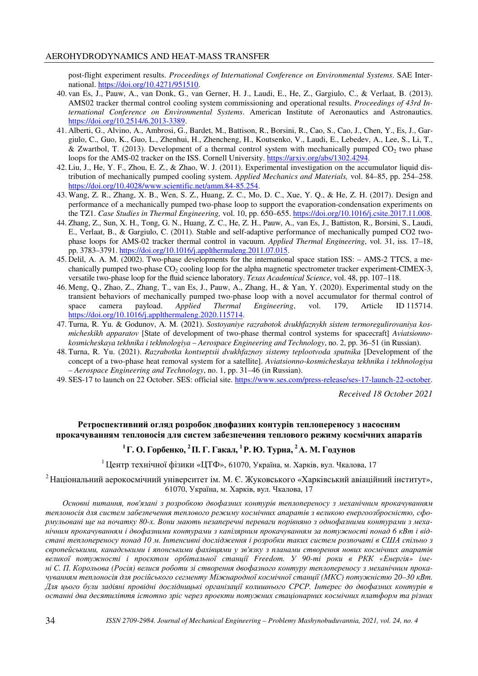post-flight experiment results. *Proceedings of International Conference on Environmental Systems*. SAE International. https://doi.org/10.4271/951510.

- 40. van Es, J., Pauw, A., van Donk, G., van Gerner, H. J., Laudi, E., He, Z., Gargiulo, C., & Verlaat, B. (2013). AMS02 tracker thermal control cooling system commissioning and operational results. *Proceedings of 43rd International Conference on Environmental Systems*. American Institute of Aeronautics and Astronautics. https://doi.org/10.2514/6.2013-3389.
- 41. Alberti, G., Alvino, A., Ambrosi, G., Bardet, M., Battison, R., Borsini, R., Cao, S., Cao, J., Chen, Y., Es, J., Gargiulo, C., Guo, K., Guo, L., Zhenhui, H., Zhencheng, H., Koutsenko, V., Laudi, E., Lebedev, A., Lee, S., Li, T., & Zwartbol, T. (2013). Development of a thermal control system with mechanically pumped  $CO<sub>2</sub>$  two phase loops for the AMS-02 tracker on the ISS. Cornell University. https://arxiv.org/abs/1302.4294.
- 42. Liu, J., He, Y. F., Zhou, E. Z., & Zhao, W. J. (2011). Experimental investigation on the accumulator liquid distribution of mechanically pumped cooling system. *Applied Mechanics and Materials,* vol. 84–85, pp. 254–258. https://doi.org/10.4028/www.scientific.net/amm.84-85.254.
- 43. Wang, Z. R., Zhang, X. B., Wen, S. Z., Huang, Z. C., Mo, D. C., Xue, Y. Q., & He, Z. H. (2017). Design and performance of a mechanically pumped two-phase loop to support the evaporation-condensation experiments on the TZ1. *Case Studies in Thermal Engineering,* vol. 10, pp. 650–655. https://doi.org/10.1016/j.csite.2017.11.008.
- 44. Zhang, Z., Sun, X. H., Tong, G. N., Huang, Z. C., He, Z. H., Pauw, A., van Es, J., Battiston, R., Borsini, S., Laudi, E., Verlaat, B., & Gargiulo, C. (2011). Stable and self-adaptive performance of mechanically pumped CO2 twophase loops for AMS-02 tracker thermal control in vacuum. *Applied Thermal Engineering*, vol. 31, iss. 17–18, pp. 3783–3791. https://doi.org/10.1016/j.applthermaleng.2011.07.015.
- 45. Delil, A. A. M. (2002). Two-phase developments for the international space station ISS: AMS-2 TTCS, a mechanically pumped two-phase  $CO<sub>2</sub>$  cooling loop for the alpha magnetic spectrometer tracker experiment-CIMEX-3, versatile two-phase loop for the fluid science laboratory. *Texas Academical Science*, vol. 48, pp. 107–118.
- 46. Meng, Q., Zhao, Z., Zhang, T., van Es, J., Pauw, A., Zhang, H., & Yan, Y. (2020). Experimental study on the transient behaviors of mechanically pumped two-phase loop with a novel accumulator for thermal control of space camera payload. *Applied Thermal Engineering*, vol. 179, Article ID 115714. https://doi.org/10.1016/j.applthermaleng.2020.115714.
- 47. Turna, R. Yu. & Godunov, A. M. (2021). *Sostoyaniye razrabotok dvukhfaznykh sistem termoregulirovaniya kosmicheskikh apparatov* [State of development of two-phase thermal control systems for spacecraft] *Aviatsionnokosmicheskaya tekhnika i tekhnologiya* – *Aerospace Engineering and Technology*, no. 2, pp. 36–51 (in Russian).
- 48. Turna, R. Yu. (2021). *Razrabotka kontseptsii dvukhfaznoy sistemy teplootvoda sputnika* [Development of the concept of a two-phase heat removal system for a satellite]. *Aviatsionno-kosmicheskaya tekhnika i tekhnologiya* – *Aerospace Engineering and Technology*, no. 1, pp. 31–46 (in Russian).
- 49. SES-17 to launch on 22 October. SES: official site. https://www.ses.com/press-release/ses-17-launch-22-october.

*Received 18 October 2021* 

# **Ретроспективний огляд розробок двофазних контурів теплопереносу з насосним прокачуванням теплоносія для систем забезпечення теплового режиму космічних апаратів**

# $^1\Gamma$ . О. Горбенко,  $^2\Pi$ . Г. Гакал,  $^1$ Р. Ю. Турна,  $^2$ А. М. Годунов

<sup>1</sup> Центр технічної фізики «ЦТФ», 61070, Україна, м. Харків, вул. Чкалова, 17

<sup>2</sup> Національний аерокосмічний університет ім. М. Є. Жуковського «Харківський авіаційний інститут», 61070, Україна, м. Харків, вул. Чкалова, 17

*Основні питання, пов'язані з розробкою двофазних контурів теплопереносу з механічним прокачуванням теплоносія для систем забезпечення теплового режиму космічних апаратів з великою енергоозброєністю, сфо*рмульовані ще на початку 80-х. Вони мають незаперечні переваги порівняно з однофазними контурами з меха*нічним прокачуванням і двофазними контурами з капілярним прокачуванням за потужності понад 6 кВт і відстані теплопереносу понад 10 м. Інтенсивні дослідження і розробки таких систем розпочаті в США спільно з європейськими, канадськими і японськими фахівцями у зв'язку з планами створення нових космічних апаратів великої потужності і проєктом орбітальної станції Freedom. У 90-ті роки в РКК «Енергія» іме*ні С. П. Корольова (Росія) велися роботи зі створення двофазного контуру теплопереносу з механічним прока*чуванням теплоносія для російського сегменту Міжнародної космічної станції (МКС) потужністю 20–30 кВт. Для цього були задіяні провідні дослідницькі організації колишнього СРСР. Інтерес до двофазних контурів в останні два десятиліття істотно зріс через проекти потужних стаціонарних космічних платформ та різних*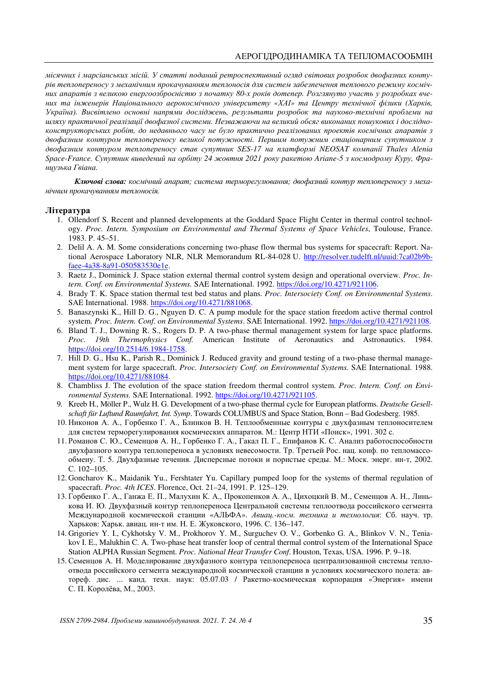*місячних і марсіанських місій. У статті поданий ретроспективний огляд світових розробок двофазних контурів теплопереносу з механічним прокачуванням теплоносія для систем забезпечення теплового режиму косміч*них апаратів з великою енергоозброєністю з початку 80-х років дотепер. Розглянуто участь у розробках вче*них та інженерів Національного аерокосмічного університету «ХАІ» та Центру технічної фізики (Харків, Україна). Висвітлено основні напрями досліджень, результати розробок та науково-технічні проблеми на шляху практичної реалізації двофазної системи. Незважаючи на великий обсяг виконаних пошукових і дослідноконструкторських робіт, до недавнього часу не було практично реалізованих проектів космічних апаратів з двофазним контуром теплопереносу великої потужності. Першим потужним стаціонарним супутником з двофазним контуром теплопереносу став супутник SES-17 на платформі NEOSAT компанії Thales Alenia Space-France. Супутник виведений на орбіту 24 жовтня 2021 року ракетою Ariane-5 з космодрому Куру, Французька Гвіана.* 

*Ключові слова: космічний апарат; система терморегулювання; двофазний контур теплопереносу з механічним прокачуванням теплоносія.* 

#### **Література**

- 1. Ollendorf S. Recent and planned developments at the Goddard Space Flight Center in thermal control technology. *Proc. Intern. Symposium on Environmental and Thermal Systems of Space Vehicles*, Toulouse, France. 1983. P. 45–51.
- 2. Delil A. A. M. Some considerations concerning two-phase flow thermal bus systems for spacecraft: Report. National Aerospace Laboratory NLR, NLR Memorandum RL-84-028 U. http://resolver.tudelft.nl/uuid:7ca02b9bfaee-4a38-8a91-050583530e1e.
- 3. Raetz J., Dominick J. Space station external thermal control system design and operational overview. *Proc. Intern. Conf. on Environmental Systems.* SAE International. 1992. https://doi.org/10.4271/921106.
- 4. Brady T. K. Space station thermal test bed status and plans. *Proc. Intersociety Conf. on Environmental Systems*. SAE International. 1988. https://doi.org/10.4271/881068.
- 5. Banaszynski K., Hill D. G., Nguyen D. C. A pump module for the space station freedom active thermal control system. *Proc. Intern. Conf. on Environmental Systems*. SAE International. 1992. https://doi.org/10.4271/921108.
- 6. Bland T. J., Downing R. S., Rogers D. P. A two-phase thermal management system for large space platforms. *Proc. 19th Thermophysics Conf.* American Institute of Aeronautics and Astronautics. 1984. https://doi.org/10.2514/6.1984-1758.
- 7. Hill D. G., Hsu K., Parish R., Dominick J. Reduced gravity and ground testing of a two-phase thermal management system for large spacecraft. *Proc. Intersociety Conf. on Environmental Systems.* SAE International. 1988. https://doi.org/10.4271/881084.
- 8. Chambliss J. The evolution of the space station freedom thermal control system. *Proc. Intern. Conf. on Environmental Systems.* SAE International. 1992. https://doi.org/10.4271/921105.
- 9. Kreeb H., Möller P., Wulz H. G. Development of a two-phase thermal cycle for European platforms. *Deutsche Gesellschaft für Luftund Raumfahrt, Int. Symp*. Towards COLUMBUS and Space Station, Bonn – Bad Godesberg. 1985.
- 10. Никонов А. А., Горбенко Г. А., Блинков В. Н. Теплообменные контуры с двухфазным теплоносителем для систем терморегулирования космических аппаратов. М.: Центр НТИ «Поиск», 1991. 302 с.
- 11. Романов С. Ю., Семенцов А. Н., Горбенко Г. А., Гакал П. Г., Епифанов К. С. Анализ работоспособности двухфазного контура теплопереноса в условиях невесомости. Тр. Третьей Рос. нац. конф. по тепломассообмену. Т. 5. Двухфазные течения. Дисперсные потоки и пористые среды. М.: Моск. энерг. ин-т, 2002. С. 102–105.
- 12. Goncharov K., Maidanik Yu., Fershtater Yu. Capillary pumped loop for the systems of thermal regulation of spacecraft. *Proc. 4th ICES*. Florence, Oct. 21–24, 1991. P. 125–129.
- 13. Горбенко Г. А., Ганжа Е. П., Малухин К. А., Прокопенков А. А., Цихоцкий В. М., Семенцов А. Н., Линькова И. Ю. Двухфазный контур теплопереноса Центральной системы теплоотвода российского сегмента Международной космической станции «АЛЬФА». *Авиац.-косм. техника и технология*: Сб. науч. тр. Харьков: Харьк. авиац. ин-т им. Н. Е. Жуковского, 1996. С. 136–147.
- 14. Grigoriev Y. I., Cykhotsky V. M., Prokhorov Y. M., Surguchev O. V., Gorbenko G. A., Blinkov V. N., Teniakov I. E., Malukhin C. A. Two-phase heat transfer loop of central thermal control system of the International Space Station ALPHA Russian Segment. *Proc. National Heat Transfer Conf*. Houston, Texas, USA. 1996. P. 9–18.
- 15. Семенцов А. Н. Моделирование двухфазного контура теплопереноса централизованной системы теплоотвода российского сегмента международной космической станции в условиях космического полета: автореф. дис. ... канд. техн. наук: 05.07.03 / Ракетно-космическая корпорация «Энергия» имени С. П. Королёва, М., 2003.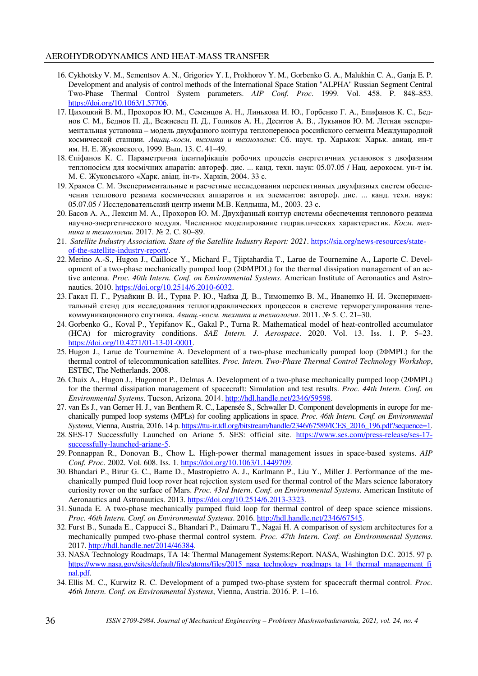- 16. Cykhotsky V. M., Sementsov A. N., Grigoriev Y. I., Prokhorov Y. M., Gorbenko G. A., Malukhin C. A., Ganja E. P. Development and analysis of control methods of the International Space Station "ALPHA" Russian Segment Central Two-Phase Thermal Control System parameters. *AIP Conf. Proc*. 1999. Vol. 458. P. 848–853. https://doi.org/10.1063/1.57706.
- 17. Цихоцкий В. М., Прохоров Ю. М., Семенцов А. Н., Линькова И. Ю., Горбенко Г. А., Епифанов К. С., Беднов С. М., Беднов П. Д., Вежневец П. Д., Голиков А. Н., Десятов А. В., Лукьянов Ю. М. Летная экспериментальная установка – модель двухфазного контура теплопереноса российского сегмента Международной космической станции. *Авиац.-косм*. *техника и технология*: Сб. науч. тр. Харьков: Харьк. авиац. ин-т им. Н. Е. Жуковского, 1999. Вып. 13. С. 41–49.
- 18. Єпіфанов К. С. Параметрична ідентифікація робочих процесів енергетичних установок з двофазним теплоносієм для космічних апаратів: автореф. дис. ... канд. техн. наук: 05.07.05 / Нац. аерокосм. ун-т ім. М. Є. Жуковського «Харк. авіац. ін-т». Харків, 2004. 33 с.
- 19. Храмов С. М. Экспериментальные и расчетные исследования перспективных двухфазных систем обеспечения теплового режима космических аппаратов и их элементов: автореф. дис. ... канд. техн. наук: 05.07.05 / Исследовательский центр имени М.В. Келдыша, М., 2003. 23 с.
- 20. Басов А. А., Лексин М. А., Прохоров Ю. М. Двухфазный контур системы обеспечения теплового режима научно-энергетического модуля. Численное моделирование гидравлических характеристик. *Косм. техника и технологии.* 2017. № 2. С. 80–89.
- 21. *Satellite Industry Association. State of the Satellite Industry Report: 2021*. https://sia.org/news-resources/stateof-the-satellite-industry-report/.
- 22. Merino A.-S., Hugon J., Cailloce Y., Michard F., Tjiptahardia T., Larue de Tournemine A., Laporte C. Development of a two-phase mechanically pumped loop (2ФMPDL) for the thermal dissipation management of an active antenna. *Proc. 40th Intern. Conf. on Environmental Systems*. American Institute of Aeronautics and Astronautics. 2010. https://doi.org/10.2514/6.2010-6032.
- 23. Гакал П. Г., Рузайкин В. И., Турна Р. Ю., Чайка Д. В., Тимощенко В. М., Иваненко Н. И. Экспериментальный стенд для исследования теплогидравлических процессов в системе терморегулирования телекоммуникационного спутника. *Авиац.-косм. техника и технология*. 2011. № 5. С. 21–30.
- 24. Gorbenko G., Koval P., Yepifanov K., Gakal P., Turna R. Mathematical model of heat-controlled accumulator (HCA) for microgravity conditions. *SAE Intern. J. Aerospace*. 2020. Vol. 13. Iss. 1. P. 5–23. https://doi.org/10.4271/01-13-01-0001.
- 25. Hugon J., Larue de Tournemine A. Development of a two-phase mechanically pumped loop (2ΦMPL) for the thermal control of telecommunication satellites. *Proc. Intern. Two-Phase Thermal Control Technology Workshop*, ESTEC, The Netherlands. 2008.
- 26. Chaix A., Hugon J., Hugonnot P., Delmas A. Development of a two-phase mechanically pumped loop (2ΦMPL) for the thermal dissipation management of spacecraft: Simulation and test results. *Proc. 44th Intern. Conf. on Environmental Systems*. Tucson, Arizona. 2014. http://hdl.handle.net/2346/59598.
- 27. van Es J., van Gerner H. J., van Benthem R. C., Lapensée S., Schwaller D. Component developments in europe for mechanically pumped loop systems (MPLs) for cooling applications in space. *Proc. 46th Intern. Conf. on Environmental Systems*, Vienna, Austria, 2016. 14 p. https://ttu-ir.tdl.org/bitstream/handle/2346/67589/ICES\_2016\_196.pdf?sequence=1.
- 28. SES-17 Successfully Launched on Ariane 5. SES: official site. https://www.ses.com/press-release/ses-17 successfully-launched-ariane-5.
- 29. Ponnappan R., Donovan B., Chow L. High-power thermal management issues in space-based systems. *AIP Conf. Proc.* 2002. Vol. 608. Iss. 1. https://doi.org/10.1063/1.1449709.
- 30. Bhandari P., Birur G. C., Bame D., Mastropietro A. J., Karlmann P., Liu Y., Miller J. Performance of the mechanically pumped fluid loop rover heat rejection system used for thermal control of the Mars science laboratory curiosity rover on the surface of Mars. *Proc. 43rd Intern. Conf. on Environmental Systems.* American Institute of Aeronautics and Astronautics. 2013. https://doi.org/10.2514/6.2013-3323.
- 31. Sunada E. A two-phase mechanically pumped fluid loop for thermal control of deep space science missions. *Proc. 46th Intern. Conf. on Environmental Systems*. 2016. http://hdl.handle.net/2346/67545.
- 32. Furst B., Sunada E., Cappucci S., Bhandari P., Daimaru T., Nagai H. A comparison of system architectures for a mechanically pumped two-phase thermal control system. *Proc. 47th Intern. Conf. on Environmental Systems*. 2017. http://hdl.handle.net/2014/46384.
- 33. NASA Technology Roadmaps, TA 14: Thermal Management Systems:Report. NASA, Washington D.C. 2015. 97 p. https://www.nasa.gov/sites/default/files/atoms/files/2015\_nasa\_technology\_roadmaps\_ta\_14\_thermal\_management\_fi nal.pdf.
- 34. Ellis M. C., Kurwitz R. C. Development of a pumped two-phase system for spacecraft thermal control. *Proc. 46th Intern. Conf. on Environmental Systems*, Vienna, Austria. 2016. P. 1–16.